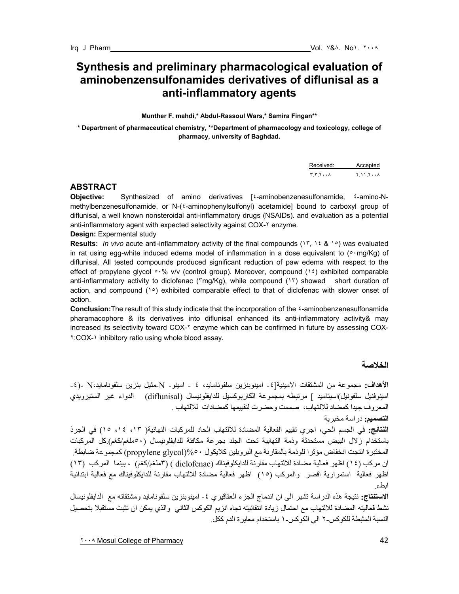# **Synthesis and preliminary pharmacological evaluation of aminobenzensulfonamides derivatives of diflunisal as a anti-inflammatory agents**

**Munther F. mahdi,\* Abdul-Rassoul Wars,\* Samira Fingan\*\*** 

**\* Department of pharmaceutical chemistry, \*\*Department of pharmacology and toxicology, college of pharmacy, university of Baghdad.** 

Received: Accepted ٣.٣.٢٠٠٨ ٢.١١.٢٠٠٨

# **ABSTRACT**

**Objective:** Synthesized of amino derivatives [٤-aminobenzenesulfonamide, ٤-amino-Nmethylbenzenesulfonamide, or N-(٤-aminophenylsulfonyl) acetamide] bound to carboxyl group of diflunisal, a well known nonsteroidal anti-inflammatory drugs (NSAIDs). and evaluation as a potential anti-inflammatory agent with expected selectivity against COX-٢ enzyme.

## **Design:** Expermental study

**Results:** *In vivo* acute anti-inflammatory activity of the final compounds (١٣, ١٤ & ١٥) was evaluated in rat using egg-white induced edema model of inflammation in a dose equivalent to ( $\circ \cdot$ mg/Kg) of diflunisal. All tested compounds produced significant reduction of paw edema with respect to the effect of propylene glycol  $\cdot\cdot\cdot\%$  v/v (control group). Moreover, compound (1 <sup>t</sup>) exhibited comparable anti-inflammatory activity to diclofenac (٣mg/Kg), while compound (١٣) showed short duration of action, and compound  $(1°)$  exhibited comparable effect to that of diclofenac with slower onset of action.

**Conclusion:**The result of this study indicate that the incorporation of the ٤-aminobenzenesulfonamide pharamacophore & its derivatives into diflunisal enhanced its anti-inflammatory activity& may increased its selectivity toward COX-٢ enzyme which can be confirmed in future by assessing COX-٢:COX-١ inhibitory ratio using whole blood assay.

**الخلاصة** 

**الأهداف:** مجموعة من المشتقات الامينية[-٤ امينوبنزين سلفونامايد، ٤ - امينو- N-مثيل بنزين سلفونامايد،N -)-٤ امينوفنيل سلفونيل)اسيتاميد ] مرتبطه بمجموعة الكاربوكسيل للدايفلونيسال (diflunisal) الدواء غير الستيرويدي المعروف جيدا كمضاد للالتهاب، صممت وحضرت لتقييمها كمضادات للالتهاب <sub>.</sub> **التصميم:** دراسة مخبرية **النتائج:** في الجسم الحي، اجري تقييم الفعالية المضادة للالتهاب الحاد للمرآبات النهائية( ،١٣ ،١٤ ١٥) في الجرذ باستخدام زلال البيض مستحدثة وذمة التهابية تحت الجلد بجرعة مكافئة للدايفلونيسال (٥٠ملغم/آغم).آل المرآبات المختبرة انتجت انخفاض مؤثرا للوذمة بالمقارنة مع البروبلين آلايكول %٥٠(glycol propylene (آمجموعة ضابطة. ان مركب (١٤) اظهر فعالية مضادة للالتهاب مقارنة للدايكلوفيناك (diclofenac) ( ٣ملغم/كغم) ، بينما المركب (١٣) اظهر فعالية استمرارية اقصر والمركب (١٥) اظهر فعالية مضادة للالتهاب مقارنة للدايكلوفيناك مع فعالية ابتدائية ابطء.

**الاستنتاج:** نتيجة هذه الدراسة تشير الى ان اندماج الجزء العقاقيري -٤ امينوبنزين سلفونامايد ومشتقاته مع الدايفلونيسال نشط فعاليته المضادة للالتهاب مع احتمال زيادة انتقائيته تجاه انزيم الكوآس الثاني والذي يمكن ان تثبت مستقبلا بتحصيل النسبة المثبطة للكوكس-٢ الى الكوكس-١ باستخدام معايرة الدم ككل.

The Mosul College of Pharmacy **and Structure 1** and the set of  $\sim 42$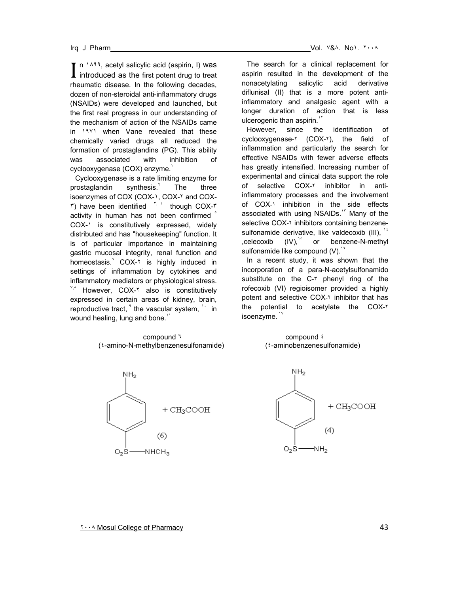n  $1499$ , acetyl salicylic acid (aspirin, I) was  $\prod$  n  $\lambda$ <sup>44</sup>, acetyl salicylic acid (aspirin, I) was introduced as the first potent drug to treat rheumatic disease. In the following decades, dozen of non-steroidal anti-inflammatory drugs (NSAIDs) were developed and launched, but the first real progress in our understanding of the mechanism of action of the NSAIDs came in ١٩٧١ when Vane revealed that these chemically varied drugs all reduced the formation of prostaglandins (PG). This ability was associated with inhibition of cyclooxygenase (COX) enzyme.<sup>1</sup>

Cyclooxygenase is a rate limiting enzyme for prostaglandin synthesis. The three isoenzymes of COX (COX-1, COX-1 and COX- $\mathbf{r}$ ) have been identified  $\mathbf{r}$ ,  $\mathbf{r}$  though COX- $\mathbf{r}$ activity in human has not been confirmed  $\degree$ COX-١ is constitutively expressed, widely distributed and has "housekeeping" function. It is of particular importance in maintaining gastric mucosal integrity, renal function and homeostasis. COX-<sup>x</sup> is highly induced in settings of inflammation by cytokines and inflammatory mediators or physiological stress.  $X, A$  However, COX- $Y$  also is constitutively expressed in certain areas of kidney, brain, reproductive tract,  $\lambda$  the vascular system,  $\lambda$  in wound healing, lung and bone.<sup>11</sup>

> **compound 1** compound **1** (٤-amino-N-methylbenzenesulfonamide) (٤-aminobenzenesulfonamide)



The search for a clinical replacement for aspirin resulted in the development of the nonacetylating salicylic acid derivative diflunisal (II) that is a more potent antiinflammatory and analgesic agent with a longer duration of action that is less ulcerogenic than aspirin.<sup>11</sup>

However, since the identification of cyclooxygenase-٢ (COX-٢), the field of inflammation and particularly the search for effective NSAIDs with fewer adverse effects has greatly intensified. Increasing number of experimental and clinical data support the role of selective COX-٢ inhibitor in antiinflammatory processes and the involvement of COX-١ inhibition in the side effects associated with using NSAIDs.<sup>17</sup> Many of the selective COX-٢ inhibitors containing benzenesulfonamide derivative, like valdecoxib (III), 14 , celecoxib (IV),  $\degree$  or benzene-N-methyl sulfonamide like compound  $(V)$ .<sup>17</sup>

In a recent study, it was shown that the incorporation of a para-N-acetylsulfonamido substitute on the C-٣ phenyl ring of the rofecoxib (VI) regioisomer provided a highly potent and selective COX-T inhibitor that has the potential to acetylate the COX-٢ isoenzyme.

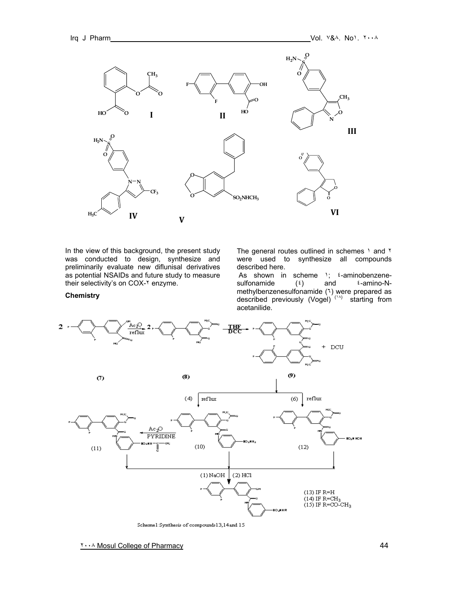**Chemistry**



In the view of this background, the present study was conducted to design, synthesize and preliminarily evaluate new diflunisal derivatives as potential NSAIDs and future study to measure their selectivity's on COX-Y enzyme.

The general routes outlined in schemes 1 and ٢ were used to synthesize all compounds described here.

As shown in scheme 1; <sup>2</sup>-aminobenzenesulfonamide  $(2)$  and  $2\pi$ -amino-Nmethylbenzenesulfonamide (٦) were prepared as described previously (Vogel)<sup> $(1)$ </sup> starting from acetanilide.



Schemel:Synthesis of compounds13,14 and 15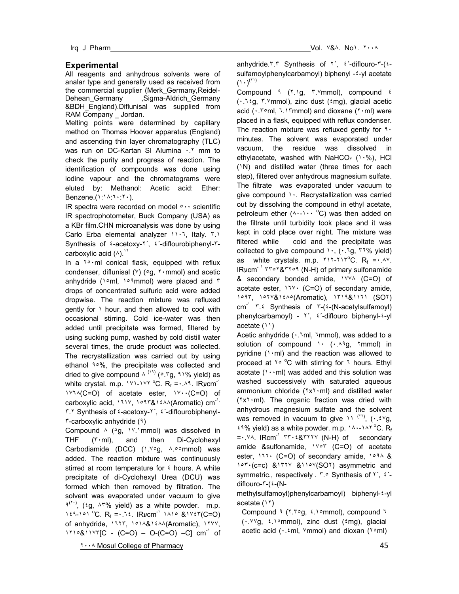# **Experimental**

All reagents and anhydrous solvents were of analar type and generally used as received from the commercial supplier (Merk\_Germany,Reidel-Dehean Germany ,Sigma-Aldrich Germany &BDH\_England).Diflunisal was supplied from RAM Company \_ Jordan.

Melting points were determined by capillary method on Thomas Hoover apparatus (England) and ascending thin layer chromatography (TLC) was run on DC-Kartan SI Alumina . \* mm to check the purity and progress of reaction. The identification of compounds was done using iodine vapour and the chromatograms were eluted by: Methanol: Acetic acid: Ether: Benzene.(١:١٨:٦٠:٢٠).

IR spectra were recorded on model ٥٠٠ scientific IR spectrophotometer, Buck Company (USA) as a KBr film.CHN microanalysis was done by using Carlo Erba elemental analyzer ١١٠٦, Italy. ٣.١ Synthesis of ٤-acetoxy-٢´, ٤´-diflourobiphenyl-٣ carboxylic acid  $(4)$ .

In a  $\gamma \circ m$  conical flask, equipped with reflux condenser, diflunisal (Y) (°g, ٢٠mmol) and acetic anhydride (١٥ml, ١٥٩mmol) were placed and ٣ drops of concentrated sulfuric acid were added dropwise. The reaction mixture was refluxed gently for ١ hour, and then allowed to cool with occasional stirring. Cold ice-water was then added until precipitate was formed, filtered by using sucking pump, washed by cold distill water several times, the crude product was collected. The recrystallization was carried out by using ethanol ٩٥%, the precipitate was collected and dried to give compound  $\wedge$  (19) ( $\circ$ .<sup>e</sup>g, 91% yield) as white crystal. m.p.  $14.144 \text{ C}$ . R<sub>f</sub> = . A<sup>4</sup>. IRvcm<sup>-1</sup> ١٧٦٨(C=O) of acetate ester, ١٧٠٠(C=O) of carboxylic acid,  $111\%$ ,  $101\%$  (Aromatic) cm<sup>-1.</sup> ٣.٢ Synthesis of ٤-acetoxy-٢´, ٤´-diflourobiphenyl-٣-carboxylic anhydride (٩)

Compound  $\wedge$  (°g, 1<sup>v</sup>.1mmol) was dissolved in THF (٣٠ml), and then Di-Cyclohexyl Carbodiamide (DCC) (١.٧٥g, ٨.٥٥mmol) was added. The reaction mixture was continuously stirred at room temperature for  $\epsilon$  hours. A white precipitate of di-Cyclohexyl Urea (DCU) was formed which then removed by filtration. The solvent was evaporated under vacuum to give  $1^{(1)}$ , (ig,  $1^{10}$  yield) as a white powder. m.p. 1٤٩-101 °C.  $R_f = 15$ . IRUCM<sup>-1</sup> 1410 & 1427(C=O) of anhydride, ١٦٢٣, ١٥١٨&١٤٨٨(Aromatic), ١٢٧٧,  $1110811YT[C - (C=O) - O(C=O) - C]$  cm<sup>-1</sup> of anhydride.٣.٣ Synthesis of ٢´, ٤´-diflouro-٣-(٤ sulfamoylphenylcarbamoyl) biphenyl -٤-yl acetate  $(1 \cdot)^{(1)}$ 

Compound ٩ (٢.١g, ٣.٧mmol), compound ٤ (٠.٦٤g, ٣.٧mmol), zinc dust (٤mg), glacial acetic acid (٠.٣٥ml, ٦.١٣mmol) and dioxane (٢٠ml) were placed in a flask, equipped with reflux condenser. The reaction mixture was refluxed gently for ٩٠ minutes. The solvent was evaporated under vacuum, the residue was dissolved in ethylacetate, washed with NaHCO $r$  (1.%), HCl (١N) and distilled water (three times for each step), filtered over anhydrous magnesium sulfate. The filtrate was evaporated under vacuum to give compound ١٠. Recrystallization was carried out by dissolving the compound in ethyl acetate, petroleum ether  $($ A $\cdot$ - $) \cdot \cdot \cdot$ <sup>o</sup>C) was then added on the filtrate until turbidity took place and it was kept in cold place over night. The mixture was filtered while cold and the precipitate was collected to give compound  $\cdot$ ,  $(\cdot$ . 1g,  $\cdot$  1% yield) as white crystals. m.p.  $YY - YY^{\circ}C$ .  $R_f = \cdot .\Delta Y$ . IRycm<sup>- ١</sup> ٣٣٥٢&٣٢٥٩ (N-H) of primary sulfonamide & secondary bonded amide, ١٧٧٨ (C=O) of acetate ester, ١٦٧٠ (C=O) of secondary amide, ١٥٩٣, ١٥٢٧&١٤٨٥(Aromatic), ١٣١٩&١١٦١ (SO٢)  $cm^{-1}$   $\tau$ . Synthesis of  $\tau$ -( $\epsilon$ -(N-acetylsulfamoyl) phenylcarbamoyl) - ٢´, ٤´-diflouro biphenyl-٤-yl acetate (١١)

Acetic anhydride (٠.٦ml, ٦mmol), was added to a solution of compound  $\cdots$  ( $\cdots$ Aq,  $\gamma$ mmol) in pyridine  $(1 \cdot m)$  and the reaction was allowed to proceed at  $Y^{\circ}$  °C with stirring for  $Y$  hours. Ethyl acetate  $(1 \cdot \cdot m)$  was added and this solution was washed successively with saturated aqueous ammonium chloride (٢x٢٠ml) and distilled water (٢x٢٠ml). The organic fraction was dried with anhydrous magnesium sulfate and the solvent was removed in vacuum to give  $11^{(11)}$ ,  $(1.5^{10})$  $24\%$  yield) as a white powder. m.p.  $14.141^{\circ}$ C. Rf =٠.٧٨. IRcm-<sup>١</sup> ٣٣٠٤&٣٢٢٧ (N-H) of secondary amide &sulfonamide, ١٧٥٣ (C=O) of acetate ester, ١٦٦٠ (C=O) of secondary amide, ١٥٩٨ & ١٥٣٠(c=c) &١٣٢٧ &١١٥٧(SO٢) asymmetric and symmetric., respectively . ٣.٥ Synthesis of ٢', ٤'diflouro-٣-(٤-(N-

methylsulfamoyl)phenylcarbamoyl) biphenyl-٤-yl acetate (١٢)

Compound ٩ (٢.٣٥g, ٤.١٥mmol), compound ٦ (٠.٧٧g, ٤.١٥mmol), zinc dust (٤mg), glacial acetic acid  $(\cdot \cdot \text{.} \cdot \text{m} \cdot \text{m} \cdot \text{m} \cdot \text{m})$  and dioxan ( $\text{.} \cdot \text{m} \cdot \text{m}$ )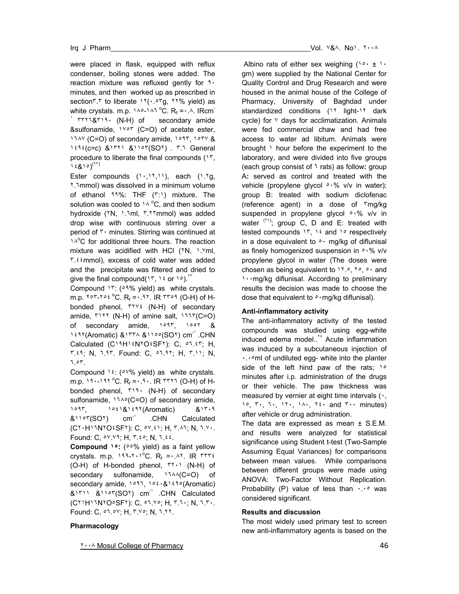were placed in flask, equipped with reflux condenser, boiling stones were added. The reaction mixture was refluxed gently for  $3 \cdot$ minutes, and then worked up as prescribed in section٣.٣ to liberate ١٢(٠.٥٣g, ٢٢% yield) as white crystals. m.p.  $140 - 147^{\circ}$ C. R<sub>f</sub> = ..4. IRcm<sup>-</sup>  $'$   $rrr_1$ & $r_1$ 9. (N-H) of secondary amide &sulfonamide, ١٧٥٣ (C=O) of acetate ester, ١٦٨٧ (C=O) of secondary amide, ١٥٩٣, ١٥٣٧ & ١٤٩٤(c=c) &١٣٢١ &١١٥٣(SO٢) . ٣.٦ General procedure to liberate the final compounds (١٣,  $1.5810^{(17)}$ 

Ester compounds  $(1 \cdot, 17, 11)$ , each  $(1.7g)$ , ٢.٦mmol) was dissolved in a minimum volume of ethanol ٩٩%: THF (٣:١) mixture. The solution was cooled to  $14^{\circ}$ C, and then sodium hydroxide (٢N, ١.٦ml, ٣.٢٣mmol) was added drop wise with continuous stirring over a period of ٣٠ minutes. Stirring was continued at 1<sup>A</sup>°C for additional three hours. The reaction mixture was acidified with HCl (٢N, ١.٧ml, ٣.٤٤mmol), excess of cold water was added and the precipitate was filtered and dried to give the final compound( $15$ ,  $12$  or  $10$ ).<sup>17</sup>

Compound ١٣: (٥٩% yield) as white crystals. m.p.  $10^{-10}$   $\text{C}$ . R<sub>f</sub> = . 11. IR  $10^{-10}$  (O-H) of Hbonded phenol, ٣٢٧٤ (N-H) of secondary amide, ٣١٢٢ (N-H) of amine salt, ١٦٦٣(C=O) of secondary amide, ١٥٩٣, ١٥٥٢ & 1٤٩٢(Aromatic) & ١٣٣٨ & ١١٥٥(SO٢) cm<sup>-1</sup>.CHN Calculated (C١٩H١٤N٢O٤SF٢): C, ٥٦.٤٣; H, ٣.٤٩; N, ٦.٩٣. Found: C, ٥٦.٩٢; H, ٣.١١; N, ٦.٥٣.

Compound  $1$ <sup>2</sup>: ( $0$ <sup>V</sup>% yield) as white crystals. m.p.  $19 - 197^{\circ}C$ .  $R_f = 0.9 - 18777$  (O-H) of Hbonded phenol, ٣١٩٠ (N-H) of secondary sulfonamide, ١٦٨٥(C=O) of secondary amide, ١٥٩٣, ١٥٤١&١٤٩٢(Aromatic) &١٣٠٩ &١١٥٣(SO٢) cm-<sup>١</sup> .CHN Calculated (C٢٠H١٦N٢O٤SF٢): C, ٥٧.٤١; H, ٣.٨٦; N, ٦.٧٠. Found: C, ٥٧.٧٩; H, ٣.٤٥; N, ٦.٤٤.

**Compound ١٥:** (٥٥% yield) as a faint yellow crystals. m.p.  $199-110^{\circ}C$ .  $R_f = 1.41$ . IR TTTE (O-H) of H-bonded phenol, ٣٢٠١ (N-H) of secondary sulfonamide,  $11\wedge($ C=O) of secondary amide, ١٥٩٦, ١٥٤٠&١٤٩٥(Aromatic) &١٣١١ &١١٥٣(SO٢) cm-<sup>١</sup> .CHN Calculated (C٢١H١٦N٢O٥SF٢): C, ٥٦.٧٥; H, ٣.٦٠; N, ٦.٣٠. Found: C, ٥٦.٥٧; H, ٣.٧٥; N, ٦.٢٢.

# Irq J Pharm Vol. ٧&٨. No١. ٢٠٠٨

Albino rats of either sex weighing  $(1 \circ \cdot \pm 1 \cdot$ gm) were supplied by the National Center for Quality Control and Drug Research and were housed in the animal house of the College of Pharmacy, University of Baghdad under standardized conditions (11 light-11 dark cycle) for  $\vee$  days for acclimatization. Animals were fed commercial chaw and had free access to water ad libitum. Animals were brought \ hour before the experiment to the laboratory, and were divided into five groups (each group consist of ٦ rats) as follow**:** group A**:** served as control and treated with the vehicle (propylene glycol  $\circ \cdot\%$  v/v in water); group B: treated with sodium diclofenac (reference agent) in a dose of ٣mg/kg suspended in propylene glycol  $\circ \cdot \%$  v/v in water  $(15)$ ; group C, D and E: treated with tested compounds  $15$ ,  $12$  and  $10$  respectively in a dose equivalent to  $\circ \cdot$  mg/kg of diflunisal as finely homogenized suspension in  $\cdot$ % v/v propylene glycol in water (The doses were chosen as being equivalent to 11.0, 10, 0, and ١٠٠mg/kg diflunisal. According to preliminary results the decision was made to choose the dose that equivalent to ∘ · mq/kq diflunisal).

#### **Anti-inflammatory activity**

The anti-inflammatory activity of the tested compounds was studied using egg-white induced edema model..<sup>1°</sup> Acute inflammation was induced by a subcutaneous injection of ٠.٠٥ml of undiluted egg- white into the planter side of the left hind paw of the rats;  $1°$ minutes after i.p. administration of the drugs or their vehicle. The paw thickness was measured by vernier at eight time intervals (٠, ١٥, ٣٠, ٦٠, ١٢٠, ١٨٠, ٢٤٠ and ٣٠٠ minutes) after vehicle or drug administration.

The data are expressed as mean  $\pm$  S.E.M. and results were analyzed for statistical significance using Student t-test (Two-Sample Assuming Equal Variances) for comparisons between mean values. While comparisons between different groups were made using ANOVA: Two-Factor Without Replication. Probability (P) value of less than  $\cdots$  was considered significant.

## **Results and discussion**

The most widely used primary test to screen new anti-inflammatory agents is based on the

## **Pharmacology**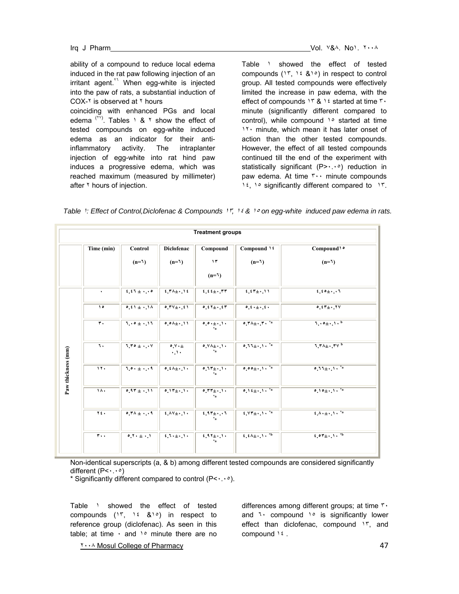ability of a compound to reduce local edema induced in the rat paw following injection of an irritant agent.<sup>11</sup> When egg-white is injected into the paw of rats, a substantial induction of COX-٢ is observed at ٢ hours coinciding with enhanced PGs and local edema  $(1)$ . Tables  $1 \& 1$  show the effect of tested compounds on egg-white induced edema as an indicator for their antiinflammatory activity. The intraplanter injection of egg-white into rat hind paw induces a progressive edema, which was reached maximum (measured by millimeter) after  $\gamma$  hours of injection.

Table 1 showed the effect of tested compounds  $(17, 12, 8, 10)$  in respect to control group. All tested compounds were effectively limited the increase in paw edema, with the effect of compounds ١٣ & ١٤ started at time ٣٠ minute (significantly different compared to control), while compound 1° started at time ١٢٠ minute, which mean it has later onset of action than the other tested compounds. However, the effect of all tested compounds continued till the end of the experiment with statistically significant (P> · · · · ) reduction in paw edema. At time ٣٠٠ minute compounds ١٤, ١٥ significantly different compared to ١٣.

| <b>Treatment groups</b> |               |                 |                                                  |                       |                                                                  |                                                                                               |
|-------------------------|---------------|-----------------|--------------------------------------------------|-----------------------|------------------------------------------------------------------|-----------------------------------------------------------------------------------------------|
|                         | Time (min)    | Control         | <b>Diclofenac</b>                                | Compound              | Compound \ {                                                     | Compound' ·                                                                                   |
|                         |               | $(n=1)$         | $(n=1)$                                          | $\gamma$              | $(I=n)$                                                          | $(1-n)$                                                                                       |
|                         |               |                 |                                                  | (1)                   |                                                                  |                                                                                               |
| Paw thickness (mm)      | ٠             | $1.11 + 1.00$   | $f$ , $\uparrow \wedge \pm \cdot$ , $\uparrow f$ | $t, t + \cdot$ , $rr$ | $f_{\pm} f''_{\pm} \cdot M$                                      | $1.10 + 1.1$                                                                                  |
|                         | $\lambda$     | $0.51 \pm 1.14$ | $0.7V_{\pm}$ , $\pm 1$                           | $0.11 + .17$          | $0, 1, \pm 1, 1$                                                 | $0.57 + 0.7V$                                                                                 |
|                         | $\mathbf r$ . | 1.0411          | $0.01 + 11$                                      | 0.0.11.1              | $0.7A_{\pm}$ . $7.2A$                                            | $1.0 + 1.1$                                                                                   |
|                         | ٦.            | $1.70 + 4$      | $0.11 +$<br>$+11 +$                              | $0.11 + 1.1$          | $0.11 \pm 1.11^{2}$                                              | $7.7A_{\pm}$ . TV b                                                                           |
|                         | 11.           | $1.0 + 1.11$    | $0, 1 + 1$                                       | $0.11 + 1.1$          | $\overline{\circ \circ \circ \pm \cdot \cdot \cdot \cdot \cdot}$ | $0.11 + 1.1$                                                                                  |
|                         | ١٨٠           | $0.97 + 11$     | $0.17 + 1.1$                                     | $0.77 + 1.1$          | $0.11 \pm 1.11$                                                  | $0.10 \pm 1.1 \cdot \frac{3}{4}$                                                              |
|                         | Y٤.           | $0.74 +4$       | $f \wedge V_{\pm} \cdot V$                       | $2.97 \pm 0.11$       | $f.VT_{\pm}$ , $\lambda$ , $a$                                   | $\sqrt{t \cdot \Delta \cdot \pm \cdot \cdot}$                                                 |
|                         | $\mathbf{r}$  | $9.1 + 1.1$     | $i, i, \pm, \ldots$                              | $1.97 \pm 0.14$       | $t, t \overline{\lambda_{\pm} \cdot 1 \cdot \cdot 1}$            | $\overline{\mathfrak{t}\cdot\mathfrak{d}^{\mathfrak{r}}\pm\cdots\mathfrak{d}^{\mathfrak{r}}}$ |
|                         |               |                 |                                                  |                       |                                                                  |                                                                                               |

Non-identical superscripts (a, & b) among different tested compounds are considered significantly different (P<٠.٠٥)

\* Significantly different compared to control (P<٠.٠٥).

Table 1 showed the effect of tested compounds  $(15, 16, 81)$  in respect to reference group (diclofenac). As seen in this table; at time  $\cdot$  and  $\lambda$ <sup>o</sup> minute there are no

differences among different groups; at time ٣٠ and <sup>1</sup> compound <sup>1</sup>° is significantly lower effect than diclofenac, compound  $15$ , and compound ١٤ .

1... Mosul College of Pharmacy **by the set of the set of the set of the set of the set of the set of the set of the set of the set of the set of the set of the set of the set of the set of the set of the set of the set of**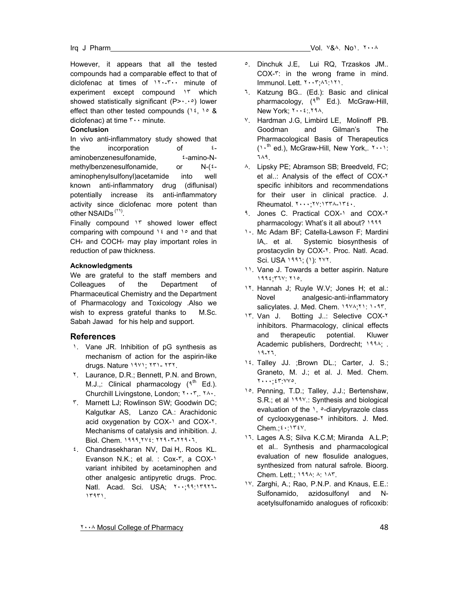However, it appears that all the tested compounds had a comparable effect to that of diclofenac at times of ١٢٠-٣٠٠ minute of experiment except compound  $1<sup>r</sup>$  which showed statistically significant (P> $\cdots$ °) lower effect than other tested compounds ( $16$ ,  $108$ diclofenac) at time ٣٠٠ minute.

#### **Conclusion**

In vivo anti-inflammatory study showed that the incorporation of  $\epsilon$ aminobenzenesulfonamide, ٤-amino-Nmethylbenzenesulfonamide, or N-(٤aminophenylsulfonyl)acetamide into well known anti-inflammatory drug (diflunisal) potentially increase its anti-inflammatory activity since diclofenac more potent than other NSAIDs<sup>(٢٩)</sup>.

Finally compound ١٣ showed lower effect comparing with compound  $16$  and  $10$  and that  $CH<sub>r</sub>$  and COCH<sub>r</sub> may play important roles in reduction of paw thickness.

#### **Acknowledgments**

We are grateful to the staff members and Colleagues of the Department of Pharmaceutical Chemistry and the Department of Pharmacology and Toxicology .Also we wish to express grateful thanks to M.Sc. Sabah Jawad for his help and support.

#### **References**

- 1. Vane JR. Inhibition of pG synthesis as mechanism of action for the aspirin-like drugs. Nature ١٩٧١; ٢٣١- ٢٣٢.
- ٢. Laurance, D.R.; Bennett, P.N. and Brown, M.J.,: Clinical pharmacology  $(3^{th}$  Ed.). Churchill Livingstone, London; ٢٠٠٣,. ٢٨٠.
- ٣. Marnett LJ; Rowlinson SW; Goodwin DC; Kalgutkar AS, Lanzo CA.: Arachidonic acid oxygenation by COX-1 and COX-1. Mechanisms of catalysis and inhibition. J. Biol. Chem. ١٩٩٩,٢٧٤: ٢٢٩٠٣-٢٢٩٠٦.
- ٤. Chandrasekharan NV, Dai H,. Roos KL. Evanson N.K.; et al. : Cox-٣, a COX-١ variant inhibited by acetaminophen and other analgesic antipyretic drugs. Proc. Natl. Acad. Sci. USA; ٢٠٠;٩٩:١٣٩٢٦- ١٣٩٣١.
- ٥. Dinchuk J.E, Lui RQ, Trzaskos JM.. COX-٣: in the wrong frame in mind. Immunol. Lett. ٢٠٠٣;٨٦:١٢١.
- ٦. Katzung BG.. (Ed.): Basic and clinical pharmacology,  $(3^{th}$  Ed.). McGraw-Hill, New York; ٢٠٠٤:.٢٩٨.
- ٧. Hardman J.G, Limbird LE, Molinoff PB. Goodman and Gilman's The Pharmacological Basis of Therapeutics (١٠th ed.), McGraw-Hill, New York,. ٢٠٠١: ٦٨٩.
- ٨. Lipsky PE; Abramson SB; Breedveld, FC; et al..: Analysis of the effect of COX-٢ specific inhibitors and recommendations for their user in clinical practice. J. Rheumatol. ٢٠٠٠;٢٧:١٣٣٨-١٣٤٠.
- ٩. Jones C. Practical COX-١ and COX-٢ pharmacology: What's it all about? ١٩٩٩
- ١٠. Mc Adam BF; Catella-Lawson F; Mardini IA,. et al. Systemic biosynthesis of prostacyclin by COX-٢. Proc. Natl. Acad. Sci. USA ١٩٩٦; (١): ٢٧٢.
- ١١. Vane J. Towards a better aspirin. Nature ١٩٩٤;٣٦٧: ٢١٥.
- ١٢. Hannah J; Ruyle W.V; Jones H; et al.: Novel analgesic-anti-inflammatory salicylates. J. Med. Chem. ١٩٧٨;٢١: ١٠٩٣.
- ١٣. Van J. Botting J..: Selective COX-٢ inhibitors. Pharmacology, clinical effects and therapeutic potential. Kluwer Academic publishers, Dordrecht; ١٩٩٨; . ١٩-٢٦.
- ١٤. Talley JJ. ;Brown DL.; Carter, J. S.; Graneto, M. J.; et al. J. Med. Chem. ٢٠٠٠;٤٣:٧٧٥.
- ١٥. Penning, T.D.; Talley, J.J.; Bertenshaw, S.R.; et al 1999.: Synthesis and biological evaluation of the \, o-diarylpyrazole class of cyclooxygenase-Y inhibitors. J. Med. Chem.;٤٠:١٣٤٧.
- ١٦. Lages A.S; Silva K.C.M; Miranda A.L.P; et al.. Synthesis and pharmacological evaluation of new flosulide analogues, synthesized from natural safrole. Bioorg. Chem. Lett.; ١٩٩٨: ٨: ١٨٣.
- ١٧. Zarghi, A.; Rao, P.N.P. and Knaus, E.E.: Sulfonamido, azidosulfonyl and Nacetylsulfonamido analogues of roficoxib:

**The Mosul College of Pharmacy 32 State of Pharmacy 32 State 2018 120 State 2018 12:00 State 2018 12:00 State 348**